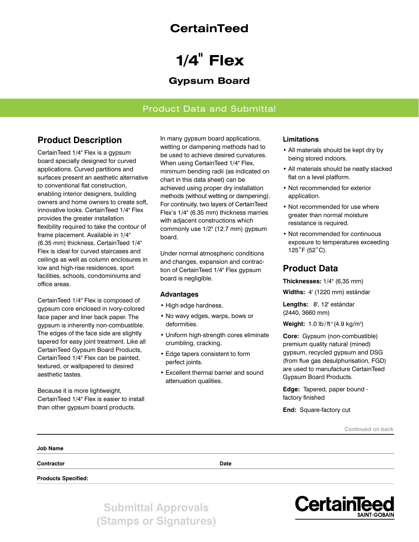## **CertainTeed**

# **1/4" Flex**

## **Gypsum Board**

### Product Data and Submittal

## **Product Description**

CertainTeed 1/4" Flex is a gypsum board specially designed for curved applications. Curved partitions and surfaces present an aesthetic alternative to conventional flat construction, enabling interior designers, building owners and home owners to create soft, innovative looks. CertainTeed 1/4" Flex provides the greater installation flexibility required to take the contour of frame placement. Available in 1/4" (6.35 mm) thickness, CertainTeed 1/4" Flex is ideal for curved staircases and ceilings as well as column enclosures in low and high-rise residences, sport facilities, schools, condominiums and office areas.

CertainTeed 1/4" Flex is composed of gypsum core enclosed in ivory-colored face paper and liner back paper. The gypsum is inherently non-combustible. The edges of the face side are slightly tapered for easy joint treatment. Like all CertainTeed Gypsum Board Products, CertainTeed 1/4" Flex can be painted, textured, or wallpapered to desired aesthetic tastes.

Because it is more lightweight, CertainTeed 1/4" Flex is easier to install than other gypsum board products.

In many gypsum board applications, wetting or dampening methods had to be used to achieve desired curvatures. When using CertainTeed 1/4" Flex, minimum bending radii (as indicated on chart in this data sheet) can be achieved using proper dry installation methods (without wetting or dampening). For continuity, two layers of CertainTeed Flex's 1/4" (6.35 mm) thickness marries with adjacent constructions which commonly use 1/2" (12.7 mm) gypsum board.

Under normal atmospheric conditions and changes, expansion and contraction of CertainTeed 1/4" Flex gypsum board is negligible.

#### **Advantages**

- High edge hardness.
- No wavy edges, warps, bows or deformities.
- Uniform high-strength cores eliminate crumbling, cracking.
- Edge tapers consistent to form perfect joints.
- Excellent thermal barrier and sound attenuation qualities.

#### **Limitations**

- All materials should be kept dry by being stored indoors.
- All materials should be neatly stacked flat on a level platform.
- Not recommended for exterior application.
- Not recommended for use where greater than normal moisture resistance is required.
- Not recommended for continuous exposure to temperatures exceeding 125˚F (52˚C).

## **Product Data**

**Thicknesses:** 1/4" (6,35 mm)

**Widths:** 4' (1220 mm) estándar

**Lengths:** 8', 12' estándar (2440, 3660 mm)

**Weight:** 1.0 lb/ft<sup>2</sup> (4.9 kg/m<sup>2</sup>)

**Core:** Gypsum (non-combustible) premium quality natural (mined) gypsum, recycled gypsum and DSG (from flue gas desulphurisation, FGD) are used to manufacture CertainTeed Gypsum Board Products.

**Edge:** Tapered, paper bound factory finished

**End:** Square-factory cut

**Continued on back**

| Job Name                   |             |  |
|----------------------------|-------------|--|
| Contractor                 | <b>Date</b> |  |
| <b>Products Specified:</b> |             |  |

**Submittal Approvals (Stamps or Signatures)**